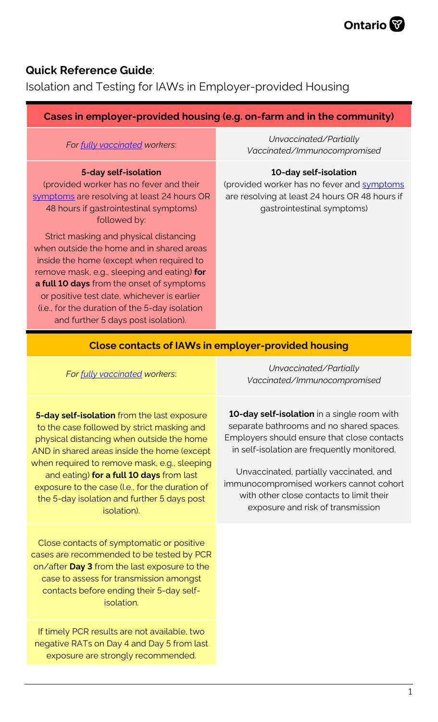

## **Quick Reference Guide**:

Isolation and Testing for IAWs in Employer-provided Housing

## **Cases in employer-provided housing (e.g. on-farm and in the community)**

*For [fully vaccinated](https://www.health.gov.on.ca/en/pro/programs/publichealth/coronavirus/docs/contact_mngmt/COVID-19_fully_vaccinated_interim_guidance.pdf) workers*:

#### **5-day self-isolation**

(provided worker has no fever and their [symptoms](https://www.health.gov.on.ca/en/pro/programs/publichealth/coronavirus/docs/2019_reference_doc_symptoms.pdf) are resolving at least 24 hours OR 48 hours if gastrointestinal symptoms) followed by:

Strict masking and physical distancing when outside the home and in shared areas inside the home (except when required to remove mask, e.g., sleeping and eating) **for a full 10 days** from the onset of symptoms or positive test date, whichever is earlier (i.e., for the duration of the 5-day isolation and further 5 days post isolation).

*Unvaccinated/Partially Vaccinated/Immunocompromised*

#### **10-day self-isolation**

(provided worker has no fever and [symptoms](https://www.health.gov.on.ca/en/pro/programs/publichealth/coronavirus/docs/2019_reference_doc_symptoms.pdf) are resolving at least 24 hours OR 48 hours if gastrointestinal symptoms)

#### **Close contacts of IAWs in employer-provided housing**

*For [fully vaccinated](https://www.health.gov.on.ca/en/pro/programs/publichealth/coronavirus/docs/contact_mngmt/COVID-19_fully_vaccinated_interim_guidance.pdf) workers*:

**5-day self-isolation** from the last exposure to the case followed by strict masking and physical distancing when outside the home AND in shared areas inside the home (except when required to remove mask, e.g., sleeping and eating) **for a full 10 days** from last exposure to the case (I.e., for the duration of the 5-day isolation and further 5 days post isolation).

Close contacts of symptomatic or positive cases are recommended to be tested by PCR on/after **Day 3** from the last exposure to the case to assess for transmission amongst contacts before ending their 5-day selfisolation.

If timely PCR results are not available, two negative RATs on Day 4 and Day 5 from last exposure are strongly recommended.

*Unvaccinated/Partially Vaccinated/Immunocompromised*

**10-day self-isolation** in a single room with separate bathrooms and no shared spaces. Employers should ensure that close contacts in self-isolation are frequently monitored.

Unvaccinated, partially vaccinated, and immunocompromised workers cannot cohort with other close contacts to limit their exposure and risk of transmission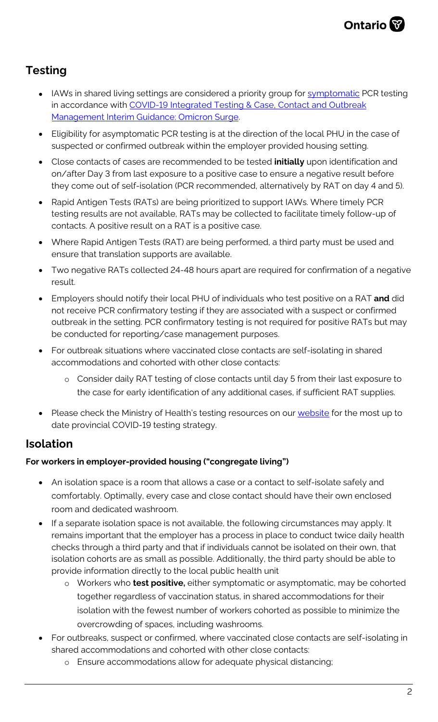

# **Testing**

- IAWs in shared living settings are considered a priority group for [symptomatic](https://www.health.gov.on.ca/en/pro/programs/publichealth/coronavirus/docs/2019_reference_doc_symptoms.pdf) PCR testing in accordance with COVID-19 [Integrated Testing & Case, Contact and Outbreak](https://www.health.gov.on.ca/en/pro/programs/publichealth/coronavirus/docs/contact_mngmt/management_cases_contacts_omicron.pdf) Management Interim [Guidance: Omicron Surge.](https://www.health.gov.on.ca/en/pro/programs/publichealth/coronavirus/docs/contact_mngmt/management_cases_contacts_omicron.pdf)
- Eligibility for asymptomatic PCR testing is at the direction of the local PHU in the case of suspected or confirmed outbreak within the employer provided housing setting.
- Close contacts of cases are recommended to be tested **initially** upon identification and on/after Day 3 from last exposure to a positive case to ensure a negative result before they come out of self-isolation (PCR recommended, alternatively by RAT on day 4 and 5).
- Rapid Antigen Tests (RATs) are being prioritized to support IAWs. Where timely PCR testing results are not available, RATs may be collected to facilitate timely follow-up of contacts. A positive result on a RAT is a positive case.
- Where Rapid Antigen Tests (RAT) are being performed, a third party must be used and ensure that translation supports are available.
- Two negative RATs collected 24-48 hours apart are required for confirmation of a negative result.
- Employers should notify their local PHU of individuals who test positive on a RAT **and** did not receive PCR confirmatory testing if they are associated with a suspect or confirmed outbreak in the setting. PCR confirmatory testing is not required for positive RATs but may be conducted for reporting/case management purposes.
- For outbreak situations where vaccinated close contacts are self-isolating in shared accommodations and cohorted with other close contacts:
	- o Consider daily RAT testing of close contacts until day 5 from their last exposure to the case for early identification of any additional cases, if sufficient RAT supplies.
- Please check the Ministry of Health's testing resources on our [website](http://www.health.gov.on.ca/en/pro/programs/publichealth/coronavirus/2019_guidance.aspx#symptoms) for the most up to date provincial COVID-19 testing strategy.

# **Isolation**

### **For workers in employer-provided housing ("congregate living")**

- An isolation space is a room that allows a case or a contact to self-isolate safely and comfortably. Optimally, every case and close contact should have their own enclosed room and dedicated washroom.
- If a separate isolation space is not available, the following circumstances may apply. It remains important that the employer has a process in place to conduct twice daily health checks through a third party and that if individuals cannot be isolated on their own, that isolation cohorts are as small as possible. Additionally, the third party should be able to provide information directly to the local public health unit
	- o Workers who **test positive,** either symptomatic or asymptomatic, may be cohorted together regardless of vaccination status, in shared accommodations for their isolation with the fewest number of workers cohorted as possible to minimize the overcrowding of spaces, including washrooms.
- For outbreaks, suspect or confirmed, where vaccinated close contacts are self-isolating in shared accommodations and cohorted with other close contacts:
	- o Ensure accommodations allow for adequate physical distancing;